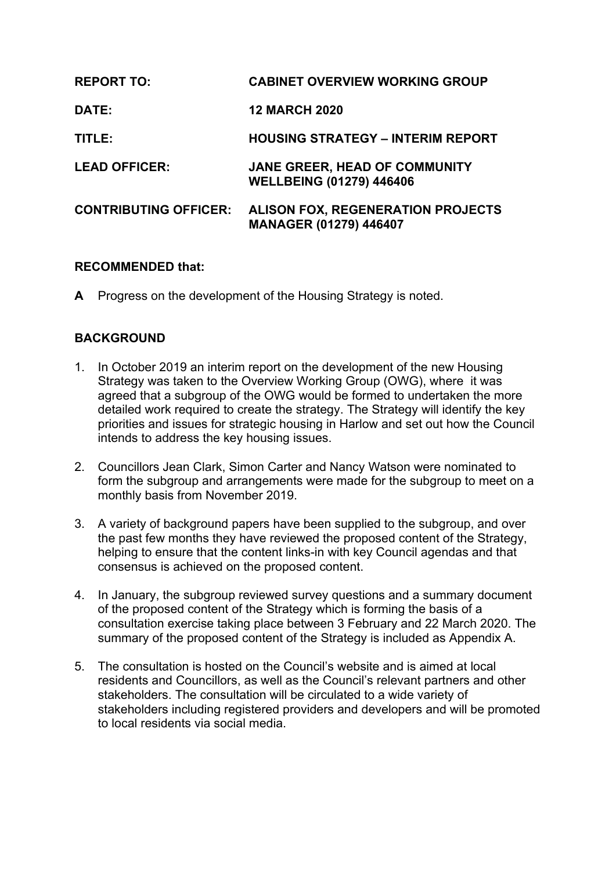| <b>REPORT TO:</b>            | <b>CABINET OVERVIEW WORKING GROUP</b>                                     |
|------------------------------|---------------------------------------------------------------------------|
| DATE:                        | <b>12 MARCH 2020</b>                                                      |
| TITLE:                       | <b>HOUSING STRATEGY - INTERIM REPORT</b>                                  |
| <b>LEAD OFFICER:</b>         | JANE GREER, HEAD OF COMMUNITY<br><b>WELLBEING (01279) 446406</b>          |
| <b>CONTRIBUTING OFFICER:</b> | <b>ALISON FOX, REGENERATION PROJECTS</b><br><b>MANAGER (01279) 446407</b> |

## **RECOMMENDED that:**

**A** Progress on the development of the Housing Strategy is noted.

# **BACKGROUND**

- 1. In October 2019 an interim report on the development of the new Housing Strategy was taken to the Overview Working Group (OWG), where it was agreed that a subgroup of the OWG would be formed to undertaken the more detailed work required to create the strategy. The Strategy will identify the key priorities and issues for strategic housing in Harlow and set out how the Council intends to address the key housing issues.
- 2. Councillors Jean Clark, Simon Carter and Nancy Watson were nominated to form the subgroup and arrangements were made for the subgroup to meet on a monthly basis from November 2019.
- 3. A variety of background papers have been supplied to the subgroup, and over the past few months they have reviewed the proposed content of the Strategy, helping to ensure that the content links-in with key Council agendas and that consensus is achieved on the proposed content.
- 4. In January, the subgroup reviewed survey questions and a summary document of the proposed content of the Strategy which is forming the basis of a consultation exercise taking place between 3 February and 22 March 2020. The summary of the proposed content of the Strategy is included as Appendix A.
- 5. The consultation is hosted on the Council's website and is aimed at local residents and Councillors, as well as the Council's relevant partners and other stakeholders. The consultation will be circulated to a wide variety of stakeholders including registered providers and developers and will be promoted to local residents via social media.